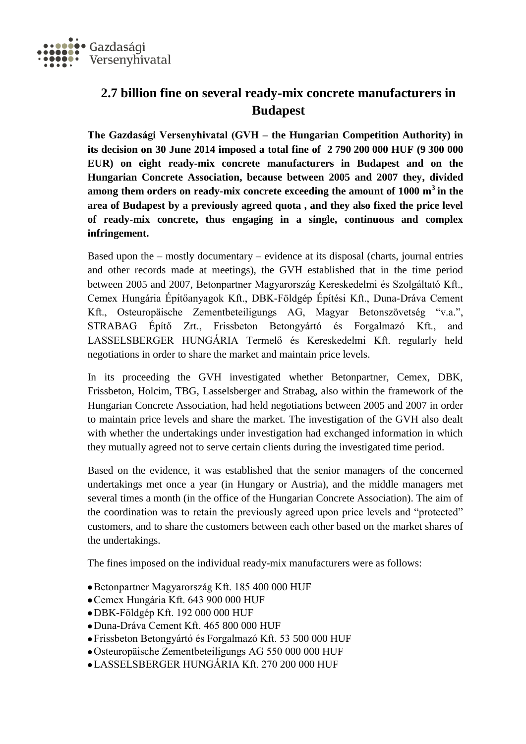

## **2.7 billion fine on several ready-mix concrete manufacturers in Budapest**

**The Gazdasági Versenyhivatal (GVH – the Hungarian Competition Authority) in its decision on 30 June 2014 imposed a total fine of 2 790 200 000 HUF (9 300 000 EUR) on eight ready-mix concrete manufacturers in Budapest and on the Hungarian Concrete Association, because between 2005 and 2007 they, divided among them orders on ready-mix concrete exceeding the amount of 1000 m<sup>3</sup> in the area of Budapest by a previously agreed quota , and they also fixed the price level of ready-mix concrete, thus engaging in a single, continuous and complex infringement.**

Based upon the – mostly documentary – evidence at its disposal (charts, journal entries and other records made at meetings), the GVH established that in the time period between 2005 and 2007, Betonpartner Magyarország Kereskedelmi és Szolgáltató Kft., Cemex Hungária Építőanyagok Kft., DBK-Földgép Építési Kft., Duna-Dráva Cement Kft., Osteuropäische Zementbeteiligungs AG, Magyar Betonszövetség "v.a.", STRABAG Építő Zrt., Frissbeton Betongyártó és Forgalmazó Kft., and LASSELSBERGER HUNGÁRIA Termelő és Kereskedelmi Kft. regularly held negotiations in order to share the market and maintain price levels.

In its proceeding the GVH investigated whether Betonpartner, Cemex, DBK, Frissbeton, Holcim, TBG, Lasselsberger and Strabag, also within the framework of the Hungarian Concrete Association, had held negotiations between 2005 and 2007 in order to maintain price levels and share the market. The investigation of the GVH also dealt with whether the undertakings under investigation had exchanged information in which they mutually agreed not to serve certain clients during the investigated time period.

Based on the evidence, it was established that the senior managers of the concerned undertakings met once a year (in Hungary or Austria), and the middle managers met several times a month (in the office of the Hungarian Concrete Association). The aim of the coordination was to retain the previously agreed upon price levels and "protected" customers, and to share the customers between each other based on the market shares of the undertakings.

The fines imposed on the individual ready-mix manufacturers were as follows:

- Betonpartner Magyarország Kft. 185 400 000 HUF
- Cemex Hungária Kft. 643 900 000 HUF
- DBK-Földgép Kft. 192 000 000 HUF
- Duna-Dráva Cement Kft. 465 800 000 HUF
- Frissbeton Betongyártó és Forgalmazó Kft. 53 500 000 HUF
- Osteuropäische Zementbeteiligungs AG 550 000 000 HUF
- LASSELSBERGER HUNGÁRIA Kft. 270 200 000 HUF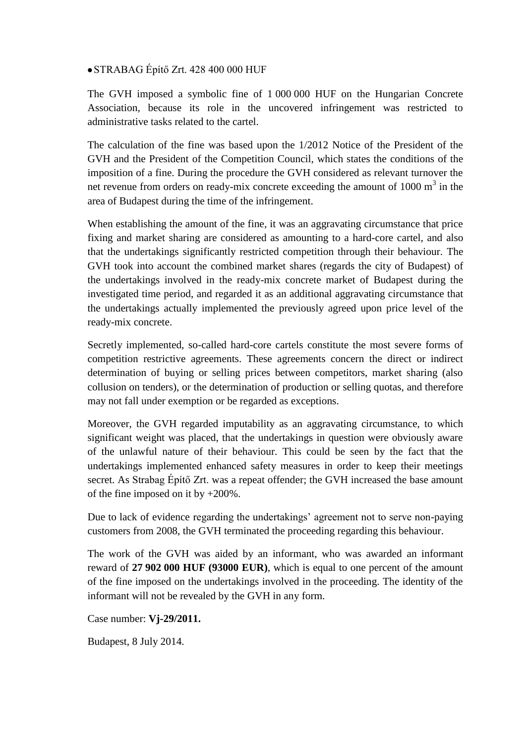## STRABAG Építő Zrt. 428 400 000 HUF

The GVH imposed a symbolic fine of 1 000 000 HUF on the Hungarian Concrete Association, because its role in the uncovered infringement was restricted to administrative tasks related to the cartel.

The calculation of the fine was based upon the 1/2012 Notice of the President of the GVH and the President of the Competition Council, which states the conditions of the imposition of a fine. During the procedure the GVH considered as relevant turnover the net revenue from orders on ready-mix concrete exceeding the amount of  $1000 \text{ m}^3$  in the area of Budapest during the time of the infringement.

When establishing the amount of the fine, it was an aggravating circumstance that price fixing and market sharing are considered as amounting to a hard-core cartel, and also that the undertakings significantly restricted competition through their behaviour. The GVH took into account the combined market shares (regards the city of Budapest) of the undertakings involved in the ready-mix concrete market of Budapest during the investigated time period, and regarded it as an additional aggravating circumstance that the undertakings actually implemented the previously agreed upon price level of the ready-mix concrete.

Secretly implemented, so-called hard-core cartels constitute the most severe forms of competition restrictive agreements. These agreements concern the direct or indirect determination of buying or selling prices between competitors, market sharing (also collusion on tenders), or the determination of production or selling quotas, and therefore may not fall under exemption or be regarded as exceptions.

Moreover, the GVH regarded imputability as an aggravating circumstance, to which significant weight was placed, that the undertakings in question were obviously aware of the unlawful nature of their behaviour. This could be seen by the fact that the undertakings implemented enhanced safety measures in order to keep their meetings secret. As Strabag Építő Zrt. was a repeat offender; the GVH increased the base amount of the fine imposed on it by +200%.

Due to lack of evidence regarding the undertakings' agreement not to serve non-paying customers from 2008, the GVH terminated the proceeding regarding this behaviour.

The work of the GVH was aided by an informant, who was awarded an informant reward of **27 902 000 HUF (93000 EUR)**, which is equal to one percent of the amount of the fine imposed on the undertakings involved in the proceeding. The identity of the informant will not be revealed by the GVH in any form.

Case number: **Vj-29/2011.**

Budapest, 8 July 2014.